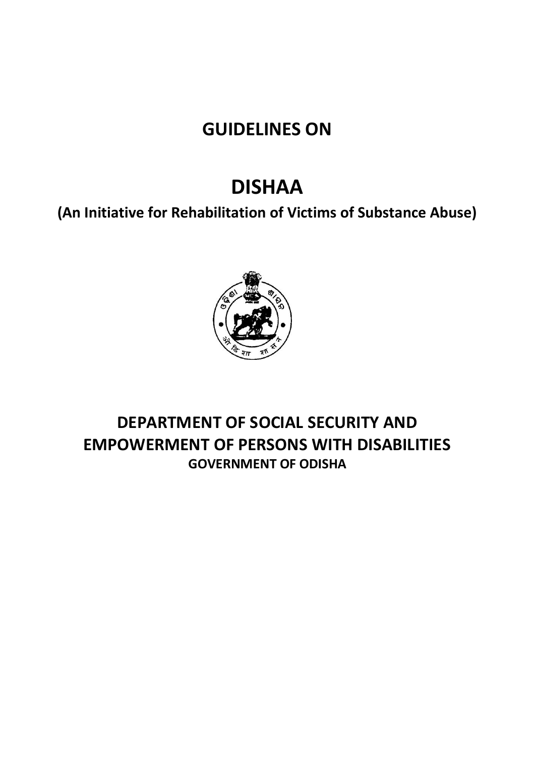# **GUIDELINES ON**

# **DISHAA**

**(An Initiative for Rehabilitation of Victims of Substance Abuse)**



## **DEPARTMENT OF SOCIAL SECURITY AND EMPOWERMENT OF PERSONS WITH DISABILITIES GOVERNMENT OF ODISHA**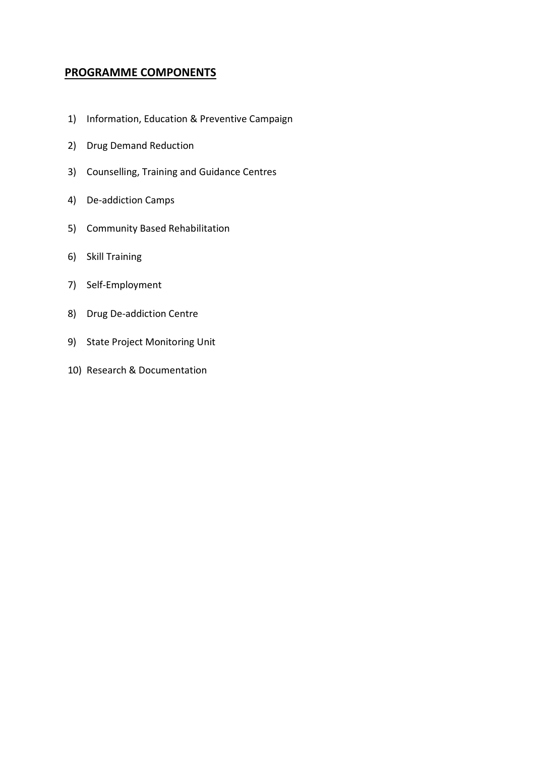### **PROGRAMME COMPONENTS**

- 1) Information, Education & Preventive Campaign
- 2) Drug Demand Reduction
- 3) Counselling, Training and Guidance Centres
- 4) De-addiction Camps
- 5) Community Based Rehabilitation
- 6) Skill Training
- 7) Self-Employment
- 8) Drug De-addiction Centre
- 9) State Project Monitoring Unit
- 10) Research & Documentation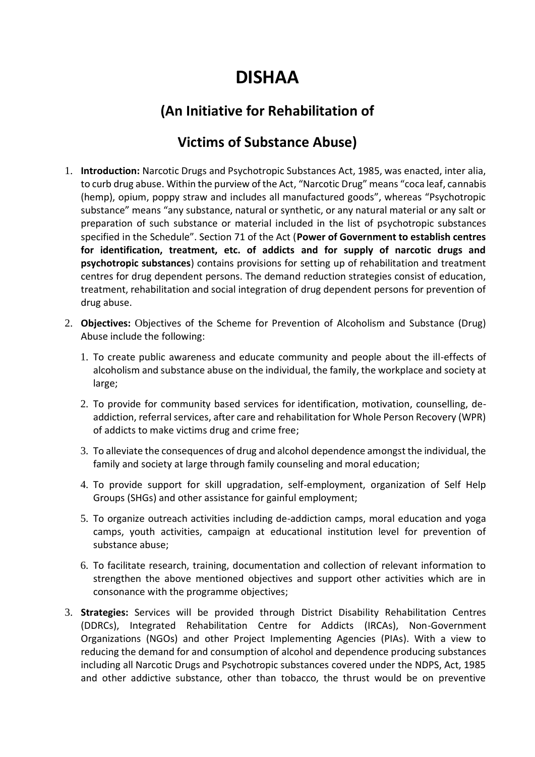# **DISHAA**

## **(An Initiative for Rehabilitation of**

## **Victims of Substance Abuse)**

- 1. **Introduction:** Narcotic Drugs and Psychotropic Substances Act, 1985, was enacted, inter alia, to curb drug abuse. Within the purview of the Act, "Narcotic Drug" means "coca leaf, cannabis (hemp), opium, poppy straw and includes all manufactured goods", whereas "Psychotropic substance" means "any substance, natural or synthetic, or any natural material or any salt or preparation of such substance or material included in the list of psychotropic substances specified in the Schedule". Section 71 of the Act (**Power of Government to establish centres for identification, treatment, etc. of addicts and for supply of narcotic drugs and psychotropic substances**) contains provisions for setting up of rehabilitation and treatment centres for drug dependent persons. The demand reduction strategies consist of education, treatment, rehabilitation and social integration of drug dependent persons for prevention of drug abuse.
- 2. **Objectives:** Objectives of the Scheme for Prevention of Alcoholism and Substance (Drug) Abuse include the following:
	- 1. To create public awareness and educate community and people about the ill-effects of alcoholism and substance abuse on the individual, the family, the workplace and society at large;
	- 2. To provide for community based services for identification, motivation, counselling, deaddiction, referral services, after care and rehabilitation for Whole Person Recovery (WPR) of addicts to make victims drug and crime free;
	- 3. To alleviate the consequences of drug and alcohol dependence amongst the individual, the family and society at large through family counseling and moral education;
	- 4. To provide support for skill upgradation, self-employment, organization of Self Help Groups (SHGs) and other assistance for gainful employment;
	- 5. To organize outreach activities including de-addiction camps, moral education and yoga camps, youth activities, campaign at educational institution level for prevention of substance abuse;
	- 6. To facilitate research, training, documentation and collection of relevant information to strengthen the above mentioned objectives and support other activities which are in consonance with the programme objectives;
- 3. **Strategies:** Services will be provided through District Disability Rehabilitation Centres (DDRCs), Integrated Rehabilitation Centre for Addicts (IRCAs), Non-Government Organizations (NGOs) and other Project Implementing Agencies (PIAs). With a view to reducing the demand for and consumption of alcohol and dependence producing substances including all Narcotic Drugs and Psychotropic substances covered under the NDPS, Act, 1985 and other addictive substance, other than tobacco, the thrust would be on preventive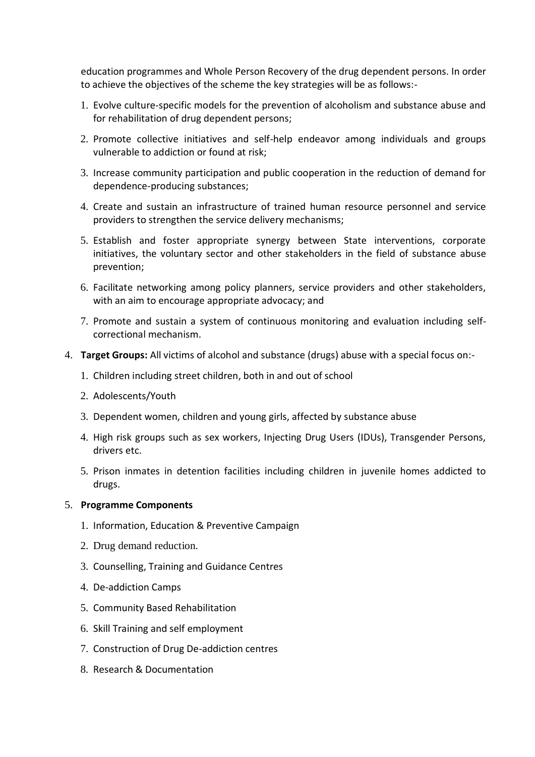education programmes and Whole Person Recovery of the drug dependent persons. In order to achieve the objectives of the scheme the key strategies will be as follows:-

- 1. Evolve culture-specific models for the prevention of alcoholism and substance abuse and for rehabilitation of drug dependent persons;
- 2. Promote collective initiatives and self-help endeavor among individuals and groups vulnerable to addiction or found at risk;
- 3. Increase community participation and public cooperation in the reduction of demand for dependence-producing substances;
- 4. Create and sustain an infrastructure of trained human resource personnel and service providers to strengthen the service delivery mechanisms;
- 5. Establish and foster appropriate synergy between State interventions, corporate initiatives, the voluntary sector and other stakeholders in the field of substance abuse prevention;
- 6. Facilitate networking among policy planners, service providers and other stakeholders, with an aim to encourage appropriate advocacy; and
- 7. Promote and sustain a system of continuous monitoring and evaluation including selfcorrectional mechanism.
- 4. **Target Groups:** All victims of alcohol and substance (drugs) abuse with a special focus on:-
	- 1. Children including street children, both in and out of school
	- 2. Adolescents/Youth
	- 3. Dependent women, children and young girls, affected by substance abuse
	- 4. High risk groups such as sex workers, Injecting Drug Users (IDUs), Transgender Persons, drivers etc.
	- 5. Prison inmates in detention facilities including children in juvenile homes addicted to drugs.

#### 5. **Programme Components**

- 1. Information, Education & Preventive Campaign
- 2. Drug demand reduction.
- 3. Counselling, Training and Guidance Centres
- 4. De-addiction Camps
- 5. Community Based Rehabilitation
- 6. Skill Training and self employment
- 7. Construction of Drug De-addiction centres
- 8. Research & Documentation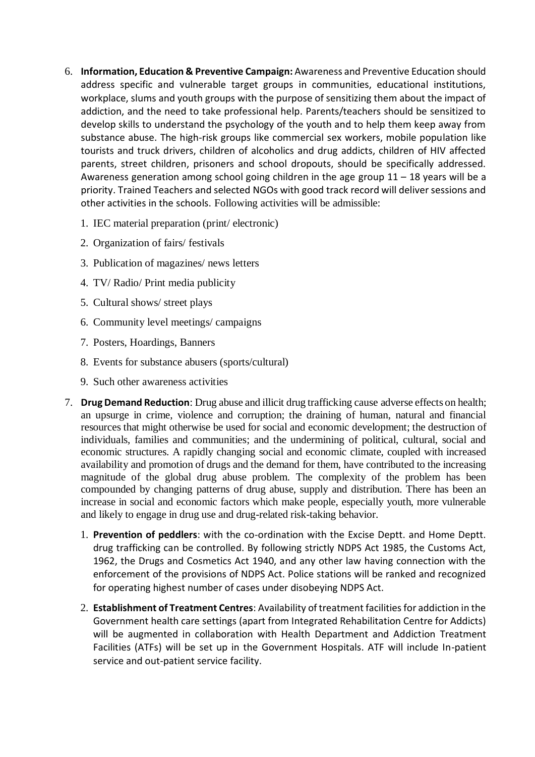- 6. **Information, Education & Preventive Campaign:** Awareness and Preventive Education should address specific and vulnerable target groups in communities, educational institutions, workplace, slums and youth groups with the purpose of sensitizing them about the impact of addiction, and the need to take professional help. Parents/teachers should be sensitized to develop skills to understand the psychology of the youth and to help them keep away from substance abuse. The high-risk groups like commercial sex workers, mobile population like tourists and truck drivers, children of alcoholics and drug addicts, children of HIV affected parents, street children, prisoners and school dropouts, should be specifically addressed. Awareness generation among school going children in the age group  $11 - 18$  years will be a priority. Trained Teachers and selected NGOs with good track record will deliver sessions and other activities in the schools. Following activities will be admissible:
	- 1. IEC material preparation (print/ electronic)
	- 2. Organization of fairs/ festivals
	- 3. Publication of magazines/ news letters
	- 4. TV/ Radio/ Print media publicity
	- 5. Cultural shows/ street plays
	- 6. Community level meetings/ campaigns
	- 7. Posters, Hoardings, Banners
	- 8. Events for substance abusers (sports/cultural)
	- 9. Such other awareness activities
- 7. **Drug Demand Reduction**: Drug abuse and illicit drug trafficking cause adverse effects on health; an upsurge in crime, violence and corruption; the draining of human, natural and financial resources that might otherwise be used for social and economic development; the destruction of individuals, families and communities; and the undermining of political, cultural, social and economic structures. A rapidly changing social and economic climate, coupled with increased availability and promotion of drugs and the demand for them, have contributed to the increasing magnitude of the global drug abuse problem. The complexity of the problem has been compounded by changing patterns of drug abuse, supply and distribution. There has been an increase in social and economic factors which make people, especially youth, more vulnerable and likely to engage in drug use and drug-related risk-taking behavior.
	- 1. **Prevention of peddlers**: with the co-ordination with the Excise Deptt. and Home Deptt. drug trafficking can be controlled. By following strictly NDPS Act 1985, the Customs Act, 1962, the Drugs and Cosmetics Act 1940, and any other law having connection with the enforcement of the provisions of NDPS Act. Police stations will be ranked and recognized for operating highest number of cases under disobeying NDPS Act.
	- 2. **Establishment of Treatment Centres**: Availability of treatment facilities for addiction in the Government health care settings (apart from Integrated Rehabilitation Centre for Addicts) will be augmented in collaboration with Health Department and Addiction Treatment Facilities (ATFs) will be set up in the Government Hospitals. ATF will include In-patient service and out-patient service facility.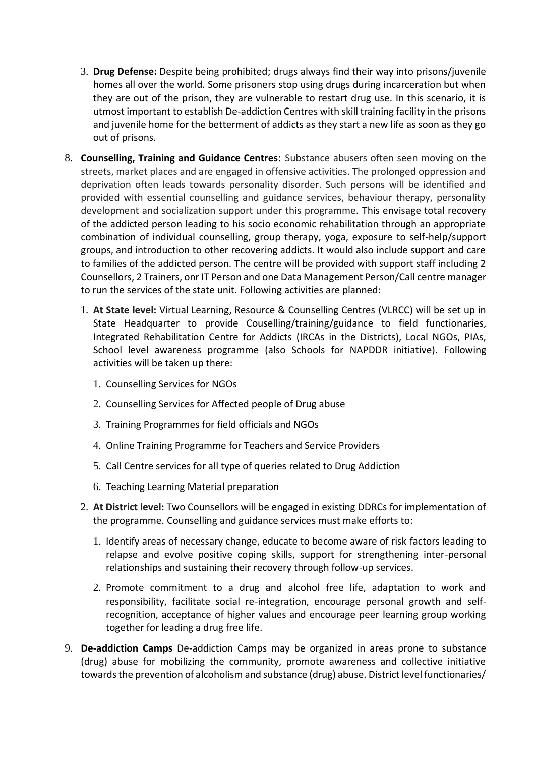- 3. **Drug Defense:** Despite being prohibited; drugs always find their way into prisons/juvenile homes all over the world. Some prisoners stop using drugs during incarceration but when they are out of the prison, they are vulnerable to restart drug use. In this scenario, it is utmost important to establish De-addiction Centres with skill training facility in the prisons and juvenile home for the betterment of addicts as they start a new life as soon as they go out of prisons.
- 8. **Counselling, Training and Guidance Centres**: Substance abusers often seen moving on the streets, market places and are engaged in offensive activities. The prolonged oppression and deprivation often leads towards personality disorder. Such persons will be identified and provided with essential counselling and guidance services, behaviour therapy, personality development and socialization support under this programme. This envisage total recovery of the addicted person leading to his socio economic rehabilitation through an appropriate combination of individual counselling, group therapy, yoga, exposure to self-help/support groups, and introduction to other recovering addicts. It would also include support and care to families of the addicted person. The centre will be provided with support staff including 2 Counsellors, 2 Trainers, onr IT Person and one Data Management Person/Call centre manager to run the services of the state unit. Following activities are planned:
	- 1. **At State level:** Virtual Learning, Resource & Counselling Centres (VLRCC) will be set up in State Headquarter to provide Couselling/training/guidance to field functionaries, Integrated Rehabilitation Centre for Addicts (IRCAs in the Districts), Local NGOs, PIAs, School level awareness programme (also Schools for NAPDDR initiative). Following activities will be taken up there:
		- 1. Counselling Services for NGOs
		- 2. Counselling Services for Affected people of Drug abuse
		- 3. Training Programmes for field officials and NGOs
		- 4. Online Training Programme for Teachers and Service Providers
		- 5. Call Centre services for all type of queries related to Drug Addiction
		- 6. Teaching Learning Material preparation
	- 2. **At District level:** Two Counsellors will be engaged in existing DDRCs for implementation of the programme. Counselling and guidance services must make efforts to:
		- 1. Identify areas of necessary change, educate to become aware of risk factors leading to relapse and evolve positive coping skills, support for strengthening inter-personal relationships and sustaining their recovery through follow-up services.
		- 2. Promote commitment to a drug and alcohol free life, adaptation to work and responsibility, facilitate social re-integration, encourage personal growth and selfrecognition, acceptance of higher values and encourage peer learning group working together for leading a drug free life.
- 9. **De-addiction Camps** De-addiction Camps may be organized in areas prone to substance (drug) abuse for mobilizing the community, promote awareness and collective initiative towards the prevention of alcoholism and substance (drug) abuse. District level functionaries/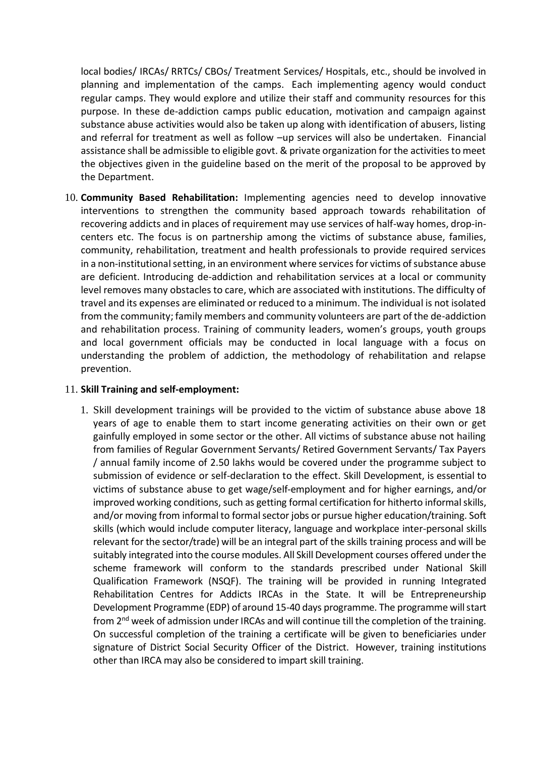local bodies/ IRCAs/ RRTCs/ CBOs/ Treatment Services/ Hospitals, etc., should be involved in planning and implementation of the camps. Each implementing agency would conduct regular camps. They would explore and utilize their staff and community resources for this purpose. In these de-addiction camps public education, motivation and campaign against substance abuse activities would also be taken up along with identification of abusers, listing and referral for treatment as well as follow –up services will also be undertaken. Financial assistance shall be admissible to eligible govt. & private organization for the activities to meet the objectives given in the guideline based on the merit of the proposal to be approved by the Department.

10. **Community Based Rehabilitation:** Implementing agencies need to develop innovative interventions to strengthen the community based approach towards rehabilitation of recovering addicts and in places of requirement may use services of half-way homes, drop-incenters etc. The focus is on partnership among the victims of substance abuse, families, community, rehabilitation, treatment and health professionals to provide required services in a non-institutional setting, in an environment where services for victims of substance abuse are deficient. Introducing de-addiction and rehabilitation services at a local or community level removes many obstacles to care, which are associated with institutions. The difficulty of travel and its expenses are eliminated or reduced to a minimum. The individual is not isolated from the community; family members and community volunteers are part of the de-addiction and rehabilitation process. Training of community leaders, women's groups, youth groups and local government officials may be conducted in local language with a focus on understanding the problem of addiction, the methodology of rehabilitation and relapse prevention.

#### 11. **Skill Training and self-employment:**

1. Skill development trainings will be provided to the victim of substance abuse above 18 years of age to enable them to start income generating activities on their own or get gainfully employed in some sector or the other. All victims of substance abuse not hailing from families of Regular Government Servants/ Retired Government Servants/ Tax Payers / annual family income of 2.50 lakhs would be covered under the programme subject to submission of evidence or self-declaration to the effect. Skill Development, is essential to victims of substance abuse to get wage/self-employment and for higher earnings, and/or improved working conditions, such as getting formal certification for hitherto informal skills, and/or moving from informal to formal sector jobs or pursue higher education/training. Soft skills (which would include computer literacy, language and workplace inter-personal skills relevant for the sector/trade) will be an integral part of the skills training process and will be suitably integrated into the course modules. All Skill Development courses offered under the scheme framework will conform to the standards prescribed under National Skill Qualification Framework (NSQF). The training will be provided in running Integrated Rehabilitation Centres for Addicts IRCAs in the State. It will be Entrepreneurship Development Programme (EDP) of around 15-40 days programme. The programme will start from 2<sup>nd</sup> week of admission under IRCAs and will continue till the completion of the training. On successful completion of the training a certificate will be given to beneficiaries under signature of District Social Security Officer of the District. However, training institutions other than IRCA may also be considered to impart skill training.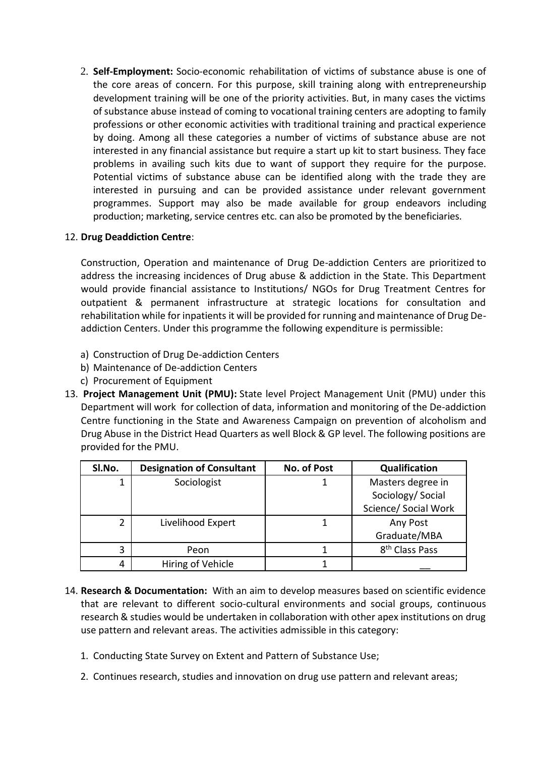2. **Self-Employment:** Socio-economic rehabilitation of victims of substance abuse is one of the core areas of concern. For this purpose, skill training along with entrepreneurship development training will be one of the priority activities. But, in many cases the victims of substance abuse instead of coming to vocational training centers are adopting to family professions or other economic activities with traditional training and practical experience by doing. Among all these categories a number of victims of substance abuse are not interested in any financial assistance but require a start up kit to start business. They face problems in availing such kits due to want of support they require for the purpose. Potential victims of substance abuse can be identified along with the trade they are interested in pursuing and can be provided assistance under relevant government programmes. Support may also be made available for group endeavors including production; marketing, service centres etc. can also be promoted by the beneficiaries.

#### 12. **Drug Deaddiction Centre**:

Construction, Operation and maintenance of Drug De-addiction Centers are prioritized to address the increasing incidences of Drug abuse & addiction in the State. This Department would provide financial assistance to Institutions/ NGOs for Drug Treatment Centres for outpatient & permanent infrastructure at strategic locations for consultation and rehabilitation while for inpatients it will be provided for running and maintenance of Drug Deaddiction Centers. Under this programme the following expenditure is permissible:

- a) Construction of Drug De-addiction Centers
- b) Maintenance of De-addiction Centers
- c) Procurement of Equipment
- 13. **Project Management Unit (PMU):** State level Project Management Unit (PMU) under this Department will work for collection of data, information and monitoring of the De-addiction Centre functioning in the State and Awareness Campaign on prevention of alcoholism and Drug Abuse in the District Head Quarters as well Block & GP level. The following positions are provided for the PMU.

| SI.No. | <b>Designation of Consultant</b> | No. of Post | Qualification                                                  |
|--------|----------------------------------|-------------|----------------------------------------------------------------|
| 1      | Sociologist                      |             | Masters degree in<br>Sociology/ Social<br>Science/ Social Work |
| 2      | Livelihood Expert                |             | Any Post<br>Graduate/MBA                                       |
| 3      | Peon                             |             | 8 <sup>th</sup> Class Pass                                     |
| 4      | Hiring of Vehicle                |             |                                                                |

- 14. **Research & Documentation:** With an aim to develop measures based on scientific evidence that are relevant to different socio-cultural environments and social groups, continuous research & studies would be undertaken in collaboration with other apex institutions on drug use pattern and relevant areas. The activities admissible in this category:
	- 1. Conducting State Survey on Extent and Pattern of Substance Use;
	- 2. Continues research, studies and innovation on drug use pattern and relevant areas;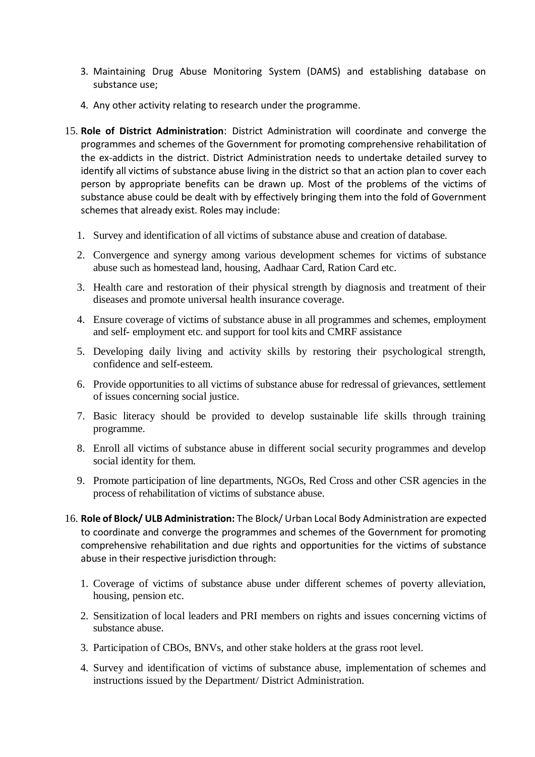- 3. Maintaining Drug Abuse Monitoring System (DAMS) and establishing database on substance use;
- 4. Any other activity relating to research under the programme.
- 15. **Role of District Administration**: District Administration will coordinate and converge the programmes and schemes of the Government for promoting comprehensive rehabilitation of the ex-addicts in the district. District Administration needs to undertake detailed survey to identify all victims of substance abuse living in the district so that an action plan to cover each person by appropriate benefits can be drawn up. Most of the problems of the victims of substance abuse could be dealt with by effectively bringing them into the fold of Government schemes that already exist. Roles may include:
	- 1. Survey and identification of all victims of substance abuse and creation of database.
	- 2. Convergence and synergy among various development schemes for victims of substance abuse such as homestead land, housing, Aadhaar Card, Ration Card etc.
	- 3. Health care and restoration of their physical strength by diagnosis and treatment of their diseases and promote universal health insurance coverage.
	- 4. Ensure coverage of victims of substance abuse in all programmes and schemes, employment and self- employment etc. and support for tool kits and CMRF assistance
	- 5. Developing daily living and activity skills by restoring their psychological strength, confidence and self-esteem.
	- 6. Provide opportunities to all victims of substance abuse for redressal of grievances, settlement of issues concerning social justice.
	- 7. Basic literacy should be provided to develop sustainable life skills through training programme.
	- 8. Enroll all victims of substance abuse in different social security programmes and develop social identity for them.
	- 9. Promote participation of line departments, NGOs, Red Cross and other CSR agencies in the process of rehabilitation of victims of substance abuse.
- 16. **Role of Block/ ULB Administration:** The Block/ Urban Local Body Administration are expected to coordinate and converge the programmes and schemes of the Government for promoting comprehensive rehabilitation and due rights and opportunities for the victims of substance abuse in their respective jurisdiction through:
	- 1. Coverage of victims of substance abuse under different schemes of poverty alleviation, housing, pension etc.
	- 2. Sensitization of local leaders and PRI members on rights and issues concerning victims of substance abuse.
	- 3. Participation of CBOs, BNVs, and other stake holders at the grass root level.
	- 4. Survey and identification of victims of substance abuse, implementation of schemes and instructions issued by the Department/ District Administration.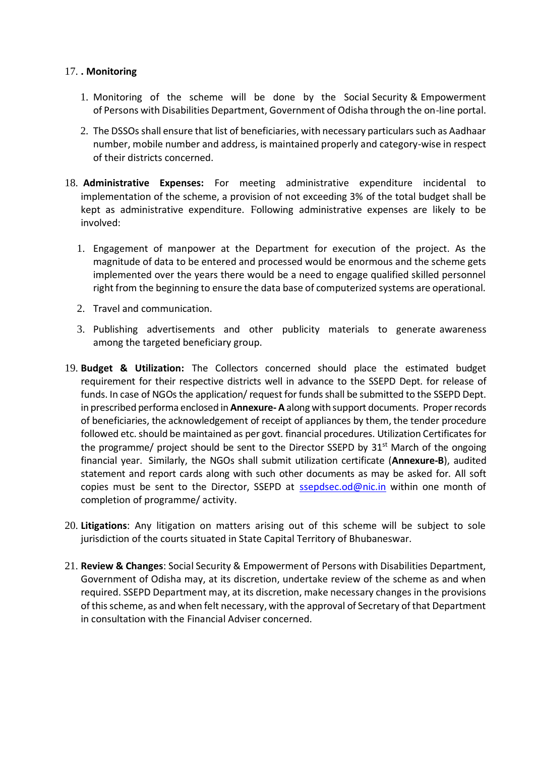#### 17. **. Monitoring**

- 1. Monitoring of the scheme will be done by the Social Security & Empowerment of Persons with Disabilities Department, Government of Odisha through the on-line portal.
- 2. The DSSOs shall ensure that list of beneficiaries, with necessary particulars such as Aadhaar number, mobile number and address, is maintained properly and category-wise in respect of their districts concerned.
- 18. **Administrative Expenses:** For meeting administrative expenditure incidental to implementation of the scheme, a provision of not exceeding 3% of the total budget shall be kept as administrative expenditure. Following administrative expenses are likely to be involved:
	- 1. Engagement of manpower at the Department for execution of the project. As the magnitude of data to be entered and processed would be enormous and the scheme gets implemented over the years there would be a need to engage qualified skilled personnel right from the beginning to ensure the data base of computerized systems are operational.
	- 2. Travel and communication.
	- 3. Publishing advertisements and other publicity materials to generate awareness among the targeted beneficiary group.
- 19. **Budget & Utilization:** The Collectors concerned should place the estimated budget requirement for their respective districts well in advance to the SSEPD Dept. for release of funds. In case of NGOs the application/ request for funds shall be submitted to the SSEPD Dept. in prescribed performa enclosed in **Annexure- A** along with support documents. Proper records of beneficiaries, the acknowledgement of receipt of appliances by them, the tender procedure followed etc. should be maintained as per govt. financial procedures. Utilization Certificates for the programme/ project should be sent to the Director SSEPD by  $31<sup>st</sup>$  March of the ongoing financial year. Similarly, the NGOs shall submit utilization certificate (**Annexure-B**), audited statement and report cards along with such other documents as may be asked for. All soft copies must be sent to the Director, SSEPD at [ssepdsec.od@nic.in](mailto:ssepdsec.od@nic.in) within one month of completion of programme/ activity.
- 20. **Litigations**: Any litigation on matters arising out of this scheme will be subject to sole jurisdiction of the courts situated in State Capital Territory of Bhubaneswar.
- 21. **Review & Changes**: Social Security & Empowerment of Persons with Disabilities Department, Government of Odisha may, at its discretion, undertake review of the scheme as and when required. SSEPD Department may, at its discretion, make necessary changes in the provisions of this scheme, as and when felt necessary, with the approval of Secretary of that Department in consultation with the Financial Adviser concerned.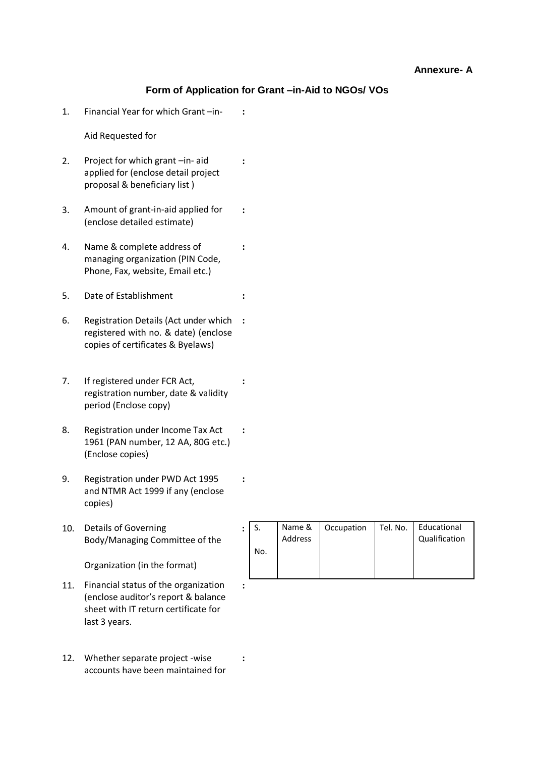#### **Form of Application for Grant –in-Aid to NGOs/ VOs**

**:**

**:**

**:**

**:**

**:**

**:**

**:**

**:**

**:**

1. Financial Year for which Grant –in-

Aid Requested for

- 2. Project for which grant –in- aid applied for (enclose detail project proposal & beneficiary list )
- 3. Amount of grant-in-aid applied for (enclose detailed estimate)
- 4. Name & complete address of managing organization (PIN Code, Phone, Fax, website, Email etc.)
- 5. Date of Establishment **:**
- 6. Registration Details (Act under which **:** registered with no. & date) (enclose copies of certificates & Byelaws)
- 7. If registered under FCR Act, registration number, date & validity period (Enclose copy)
- 8. Registration under Income Tax Act 1961 (PAN number, 12 AA, 80G etc.) (Enclose copies)
- 9. Registration under PWD Act 1995 and NTMR Act 1999 if any (enclose copies)
- 10. Details of Governing Body/Managing Committee of the

Organization (in the format)

- 11. Financial status of the organization (enclose auditor's report & balance sheet with IT return certificate for last 3 years.
- 12. Whether separate project -wise accounts have been maintained for

| $\bullet$ |     | Name &<br>Address | Occupation | Tel. No. | Educational<br>Qualification |
|-----------|-----|-------------------|------------|----------|------------------------------|
|           | No. |                   |            |          |                              |
|           |     |                   |            |          |                              |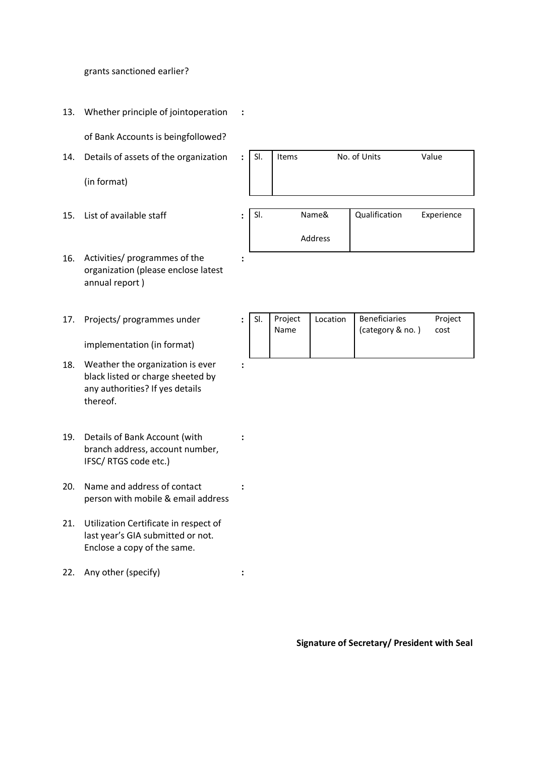grants sanctioned earlier?

13. Whether principle of jointoperation **:**

of Bank Accounts is beingfollowed?

14. Details of assets of the organization

(in format)

- 15. List of available staff : SI. Name&
- 16. Activities/ programmes of the organization (please enclose latest annual report )

**:**

**:**

**:**

**:**

17. Projects/ programmes under

implementation (in format)

- 18. Weather the organization is ever black listed or charge sheeted by any authorities? If yes details thereof.
- 19. Details of Bank Account (with branch address, account number, IFSC/ RTGS code etc.)
- 20. Name and address of contact person with mobile & email address
- 21. Utilization Certificate in respect of last year's GIA submitted or not. Enclose a copy of the same.
- 22. Any other (specify) **:**

: SI. Items No. of Units Value

Address Qualification Experience

|  |  | Project<br>Name | Location | Beneficiaries<br>(category & no.) | Project<br>cost |
|--|--|-----------------|----------|-----------------------------------|-----------------|
|--|--|-----------------|----------|-----------------------------------|-----------------|

**Signature of Secretary/ President with Seal**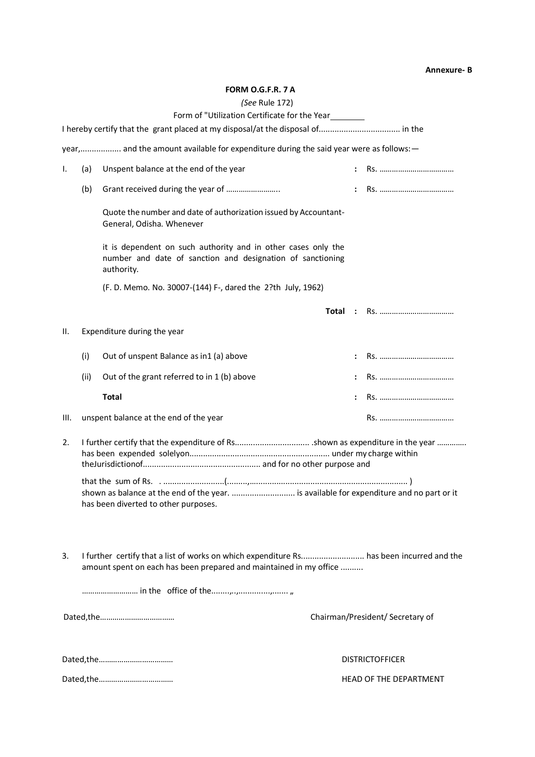#### **Annexure- B**

#### **FORM O.G.F.R. 7 A**

#### *(See* Rule 172)

|      |      | (See Rule $1/2$ )                                                                                                                                              |  |                                  |
|------|------|----------------------------------------------------------------------------------------------------------------------------------------------------------------|--|----------------------------------|
|      |      | Form of "Utilization Certificate for the Year                                                                                                                  |  |                                  |
|      |      |                                                                                                                                                                |  |                                  |
|      |      | year, and the amount available for expenditure during the said year were as follows: -                                                                         |  |                                  |
| I.   | (a)  | Unspent balance at the end of the year                                                                                                                         |  |                                  |
|      | (b)  | Grant received during the year of                                                                                                                              |  |                                  |
|      |      | Quote the number and date of authorization issued by Accountant-<br>General, Odisha. Whenever                                                                  |  |                                  |
|      |      | it is dependent on such authority and in other cases only the<br>number and date of sanction and designation of sanctioning<br>authority.                      |  |                                  |
|      |      | (F. D. Memo. No. 30007-(144) F-, dared the 2?th July, 1962)                                                                                                    |  |                                  |
|      |      |                                                                                                                                                                |  |                                  |
| Ш.   |      | Expenditure during the year                                                                                                                                    |  |                                  |
|      | (i)  | Out of unspent Balance as in1 (a) above                                                                                                                        |  |                                  |
|      | (ii) | Out of the grant referred to in 1 (b) above                                                                                                                    |  |                                  |
|      |      | <b>Total</b>                                                                                                                                                   |  |                                  |
| III. |      | unspent balance at the end of the year                                                                                                                         |  |                                  |
| 2.   |      |                                                                                                                                                                |  |                                  |
|      |      | shown as balance at the end of the year.  is available for expenditure and no part or it<br>has been diverted to other purposes.                               |  |                                  |
| 3.   |      | I further certify that a list of works on which expenditure Rs has been incurred and the<br>amount spent on each has been prepared and maintained in my office |  |                                  |
|      |      |                                                                                                                                                                |  |                                  |
|      |      |                                                                                                                                                                |  | Chairman/President/ Secretary of |
|      |      |                                                                                                                                                                |  | <b>DISTRICTOFFICER</b>           |
|      |      |                                                                                                                                                                |  | HEAD OF THE DEPARTMENT           |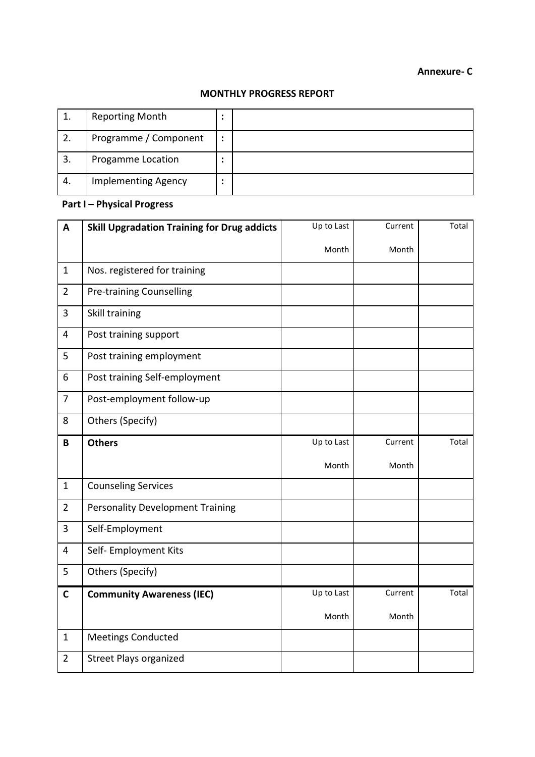#### **Annexure- C**

#### **MONTHLY PROGRESS REPORT**

|    | <b>Reporting Month</b>     | ٠                        |  |
|----|----------------------------|--------------------------|--|
| 2. | Programme / Component      | $\bullet$                |  |
| 3. | Progamme Location          | ٠                        |  |
| 4. | <b>Implementing Agency</b> | $\overline{\phantom{a}}$ |  |

### **Part I – Physical Progress**

| A              | <b>Skill Upgradation Training for Drug addicts</b> | Up to Last | Current | Total |
|----------------|----------------------------------------------------|------------|---------|-------|
|                |                                                    | Month      | Month   |       |
| $\mathbf{1}$   | Nos. registered for training                       |            |         |       |
| $\overline{2}$ | <b>Pre-training Counselling</b>                    |            |         |       |
| 3              | Skill training                                     |            |         |       |
| 4              | Post training support                              |            |         |       |
| 5              | Post training employment                           |            |         |       |
| 6              | Post training Self-employment                      |            |         |       |
| $\overline{7}$ | Post-employment follow-up                          |            |         |       |
| 8              | Others (Specify)                                   |            |         |       |
| B              | <b>Others</b>                                      | Up to Last | Current | Total |
|                |                                                    | Month      | Month   |       |
| $\mathbf{1}$   | <b>Counseling Services</b>                         |            |         |       |
| $\overline{2}$ | <b>Personality Development Training</b>            |            |         |       |
| $\overline{3}$ | Self-Employment                                    |            |         |       |
| $\overline{4}$ | Self- Employment Kits                              |            |         |       |
| 5              | Others (Specify)                                   |            |         |       |
| $\mathbf C$    | <b>Community Awareness (IEC)</b>                   | Up to Last | Current | Total |
|                |                                                    | Month      | Month   |       |
| $\mathbf{1}$   | <b>Meetings Conducted</b>                          |            |         |       |
| $\overline{2}$ | <b>Street Plays organized</b>                      |            |         |       |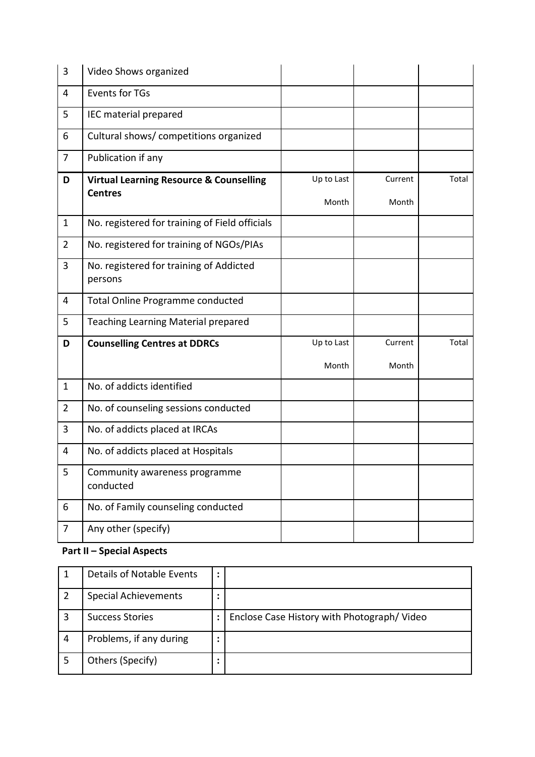| 3              | Video Shows organized                              |            |         |       |
|----------------|----------------------------------------------------|------------|---------|-------|
| 4              | <b>Events for TGs</b>                              |            |         |       |
| 5              | IEC material prepared                              |            |         |       |
| 6              | Cultural shows/ competitions organized             |            |         |       |
| $\overline{7}$ | Publication if any                                 |            |         |       |
| D              | <b>Virtual Learning Resource &amp; Counselling</b> | Up to Last | Current | Total |
|                | <b>Centres</b>                                     | Month      | Month   |       |
| $\mathbf{1}$   | No. registered for training of Field officials     |            |         |       |
| $\overline{2}$ | No. registered for training of NGOs/PIAs           |            |         |       |
| $\overline{3}$ | No. registered for training of Addicted<br>persons |            |         |       |
| $\overline{4}$ | <b>Total Online Programme conducted</b>            |            |         |       |
| 5              | <b>Teaching Learning Material prepared</b>         |            |         |       |
| D              | <b>Counselling Centres at DDRCs</b>                | Up to Last | Current | Total |
|                |                                                    | Month      | Month   |       |
| $\mathbf{1}$   | No. of addicts identified                          |            |         |       |
| $\overline{2}$ | No. of counseling sessions conducted               |            |         |       |
| 3              | No. of addicts placed at IRCAs                     |            |         |       |
| 4              | No. of addicts placed at Hospitals                 |            |         |       |
| 5              | Community awareness programme<br>conducted         |            |         |       |
| 6              | No. of Family counseling conducted                 |            |         |       |
| $\overline{7}$ | Any other (specify)                                |            |         |       |

### **Part II – Special Aspects**

|   | Details of Notable Events   |                                            |
|---|-----------------------------|--------------------------------------------|
|   | <b>Special Achievements</b> |                                            |
| ς | <b>Success Stories</b>      | Enclose Case History with Photograph/Video |
| 4 | Problems, if any during     |                                            |
|   | Others (Specify)            |                                            |